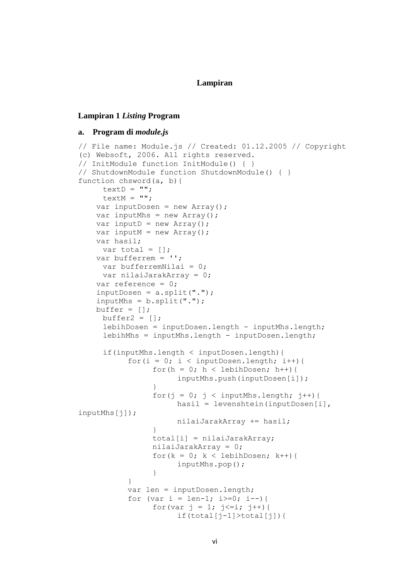### **Lampiran**

#### **Lampiran 1** *Listing* **Program**

# **a. Program di** *module.js*

```
// File name: Module.js // Created: 01.12.2005 // Copyright 
(c) Websoft, 2006. All rights reserved. 
// InitModule function InitModule() { } 
// ShutdownModule function ShutdownModule() { } 
function chsword(a, b){
     textD = "".textM = "".var inputDosen = new Array();
    var inputMhs = new Array();
    var inputD = new Array();
    var inputM = new Array();
    var hasil;
     var total = [];
     var bufferrem = '';
     var bufferremNilai = 0;
     var nilaiJarakArray = 0;
     var reference = 0;
     inputDosen = a.split(".");
    inputMhs = b.split(".");
   buffer = [];
     buffer2 = [];
     lebihDosen = inputDosen.length - inputMhs.length;
     lebihMhs = inputMhs.length - inputDosen.length;
     if(inputMhs.length < inputDosen.length){
           for(i = 0; i < inputDosen.length; i++){
                 for(h = 0; h < lebihDosen; h++){
                      inputMhs.push(inputDosen[i]);
                 }
                 for(j = 0; j < inputMhs.length; j++){
                      hasil = levenshtein(inputDosen[i],
inputMhs[j]);
                      nilaiJarakArray += hasil;
                 }
                total[i] = nilaiJarakArray;
                nilaiJarakArray = 0;
                 for(k = 0; k < lebihDosen; k++){
                      inputMhs.pop();
                 }
           }
           var len = inputDosen.length;
           for (var i = len-1; i>=0; i=-){
                 for(var j = 1; j \le i; j++){
                      if(total[j-1]>total[j]){
```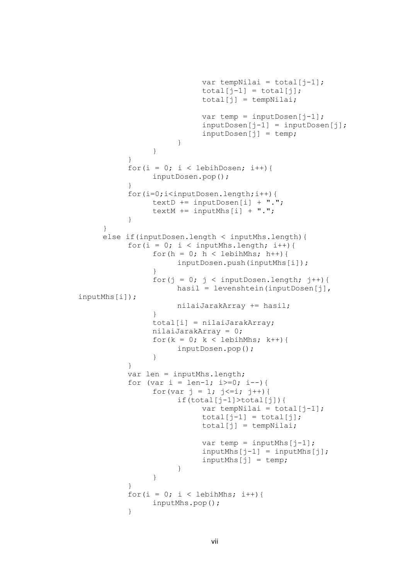```
var tempNilai = total[j-1];
                            total[i-1] = total[i];total[j] = tempNilai;var temp = inputDosen[j-1];
                            inputDosen[i-1] = inputDosen[i];inputDosen[j] = temp;
                      }
                 }
           }
           for(i = 0; i < lebihDosen; i++){
                inputDosen.pop();
           }
           for(i=0;i<inputDosen.length;i++){
                textD += inputDosen[i] + ".";
                textM += inputMhs[i] + ".";
           }
     }
     else if(inputDosen.length < inputMhs.length){
           for(i = 0; i < inputMhs.length; i++){
                for(h = 0; h < lebihMhs; h++){
                      inputDosen.push(inputMhs[i]);
                 }
                 for(j = 0; j < inputDosen.length; j++){
                      hasil = levenshtein(inputDosen[j], 
inputMhs[i]);
                      nilaiJarakArray += hasil;
                 }
                total[i] = nilaiJarakArray;
                nilaiJarakArray = 0;
                 for(k = 0; k < lebihMhs; k++){
                      inputDosen.pop();
                 }
           }
           var len = inputMhs.length;
           for (var i = len-1; i >=0; i--) {
                 for(var j = 1; j \le i; j++){
                      if(total[j-1]>total[j]){
                            var tempNilai = total[j-1];
                            total[j-1] = total[j];total[j] = tempNilai;var temp = inputMhs[j-1];
                            inputMhs[j-1] = inputMhs[j];inputMhs[j] = temp;}
                 }
           }
           for(i = 0; i < lebihMhs; i++){
                inputMhs.pop();
           }
```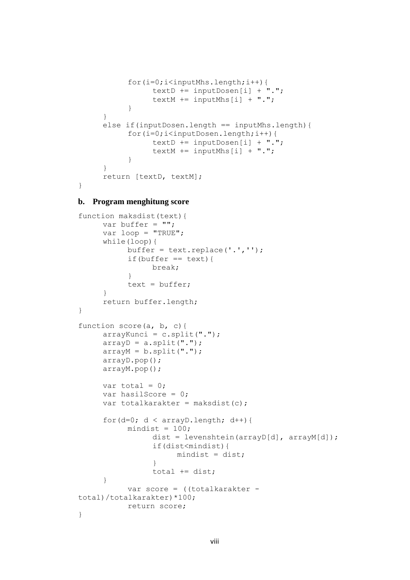```
for(i=0;i<inputMhs.length;i++){
                textD += inputDosen[i] + ".";
                textM += inputMhs[i] + ".";
           }
     }
     else if(inputDosen.length == inputMhs.length){
           for(i=0;i<inputDosen.length;i++){
                 textD += inputDosen[i] + ".";
                textM += inputMhs[i] + ".";
           }
     }
     return [textD, textM];
}
```
# **b. Program menghitung score**

```
function maksdist(text){
     var buffer = ";
     var loop = "TRUE";
     while(loop){
           buffer = text.replace('.','');
           if(buffer == text)break;
           }
           text = buffer:}
     return buffer.length;
}
function score(a, b, c){
     arrayKunci = c.split(".");arrayD = a.split(".");
     arrayM = b.split("."arrayD.pop();
     arrayM.pop();
     var total = 0;
     var hasilScore = 0;
     var totalkarakter = maksdist(c);
     for(d=0; d < \text{arrayD.length}; d++){
           mindist = 100;dist = levenshtein(arrayD[d], arrayM[d]);
                 if(dist<mindist){
                      mindist = dist;}
                total += dist;
     }
           var score = ((totalkarakter -
total)/totalkarakter)*100;
           return score;
}
```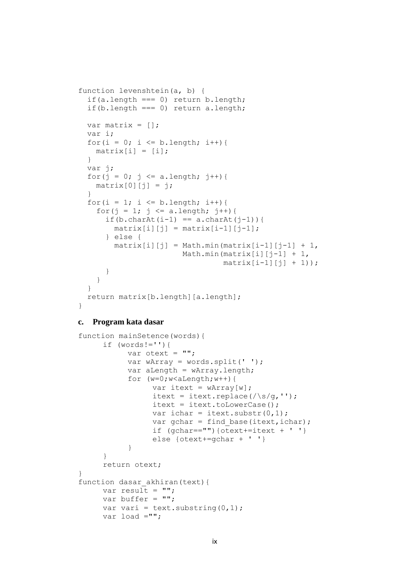```
function levenshtein(a, b) {
  if(a.length == 0) return b.length;
  if(b.length == 0) return a.length;
  var matrix = [];
  var i;
  for(i = 0; i <= b.length; i++){
   matrix[i] = [i]; }
  var j;
  for(j = 0; j \le a.length; j++){
   matrix[0][i] = j; }
  for(i = 1; i <= b.length; i++){
    for(j = 1; j <= a.length; j++){
      if(b.charAt(i-1) == a.charAt(j-1)){
        matrix[i][j] = matrix[i-1][j-1]; } else {
        matrix[i][j] = Math.min(matrix[i-1][j-1] + 1,Math.min(matrix[i][j-1] + 1,
                                 matrix[i-1][j] + 1);
       }
     }
   }
  return matrix[b.length][a.length];
}
```
# **c. Program kata dasar**

```
function mainSetence(words){
     if (words !='') {
           var otext = "";
           var wArray = words.split(' ');
           var aLength = wArray.length;
           for (w=0; w<\text{alength};w++) {
                 var itext = wArray[w];
                 itext = itext.replace(\sqrt{s/q},'');
                 itext = itext.toLowerCase();
                 var ichar = itext.substr(0, 1);
                 var gchar = find base(itext, ichar);
                 if (gchar=="") \{otext+=itext + ' ' \}else {otext+=gchar + ' '}
           }
     }
     return otext;
}
function dasar akhiran(text) {
     var result = ";
     var buffer = ";
     var vari = text.substring(0, 1);
     var load ="";
```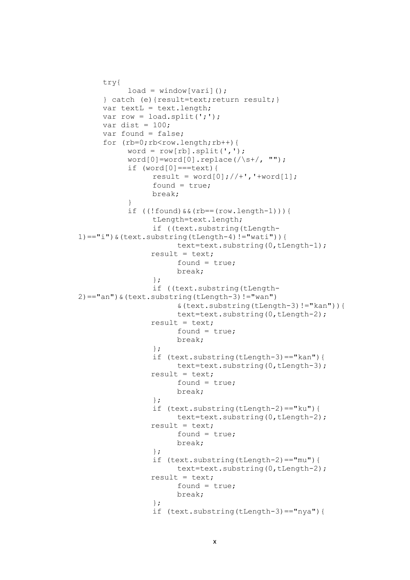```
try{
           load = window[vari]():} catch (e){result=text;return result;}
     var textL = text.length;
     var row = load.split(';');
     var dist = 100;
     var found = false;
     for (rb=0;rb<row.length;rb++) {
           word = row[rb] .split(','');
           word[0]=word[0].replace(/\s+/, "");
           if (word[0] == text) {
                 result = word[0]; // +', '+word[1];found = true;
                 break;
           }
           if ((!found)&&(rb==(row.length-1))){
                 tLength=text.length;
                 if ((text.substring(tLength-
1) == "i") \& (text.substring(tLength-4) != "wait") ) {
                      text=text.substring(0,tLength-1);
                result = text;
                      found = true;
                      break;
                 };
                 if ((text.substring(tLength-
2) == "an") \& (text.substring(tLength-3) != "wan")&(text.substring(tLength-3)!="kan")){
                      text=text.substring(0,tLength-2);
                result = text;
                      found = true;break;
                 };
                 if (text.substring(tLength-3)=="kan"){
                      text=text.substring(0,tLength-3);
                result = text;found = true;
                      break;
                 };
                 if (text.substring(tLength-2)=="ku"){
                      text=text.substring(0,tLength-2);
                result = text;found = true;
                      break;
                 };
                 if (text.substring(tLength-2)=="mu"){
                      text=text.substring(0,tLength-2);
                result = text;found = true;
                      break;
                 };
                 if (text.substring(tLength-3)=="nya"){
```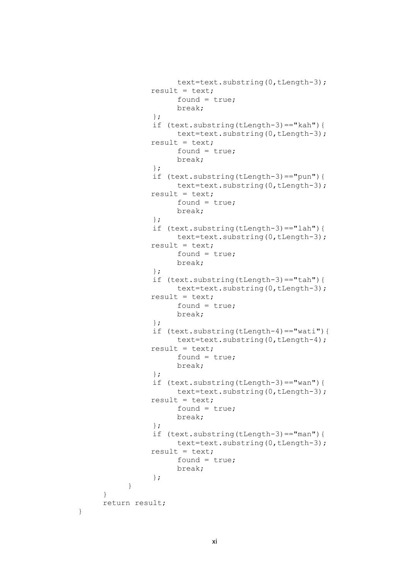```
text=text.substring(0,tLength-3);
           result = text;
                 found = true;
                break;
           };
           if (text.substring(tLength-3)=="kah"){
                text=text.substring(0,tLength-3);
           result = text;
                 found = true;
                break;
           };
           if (text.substring(tLength-3)=="pun"){
                text=text.substring(0,tLength-3);
          result = text;
                found = true;break;
           };
           if (text.substring(tLength-3)=="lah"){
                text=text.substring(0,tLength-3);
           result = text;found = true:break;
           };
           if (text.substring(tLength-3)=="tah"){
                text=text.substring(0,tLength-3);
           result = text;found = true;break;
           };
           if (text.substring(tLength-4)=="wati"){
                text=text.substring(0,tLength-4);
          result = text;found = true;
                break;
           };
           if (text.substring(tLength-3)=="wan"){
                text=text.substring(0,tLength-3);
           result = text;found = true;
                break;
           };
           if (text.substring(tLength-3)=="man"){
                text=text.substring(0,tLength-3);
           result = text;found = true;
                break;
           };
     }
}
return result;
```
}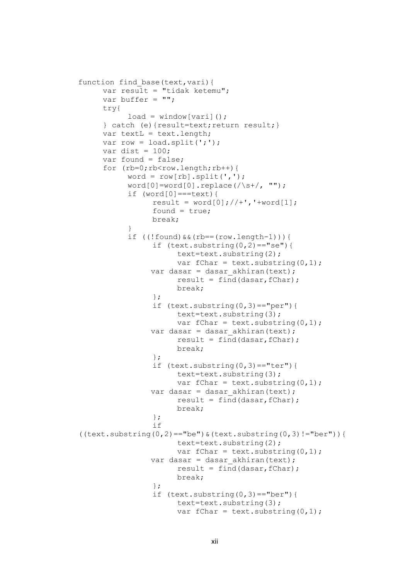```
function find base(text, vari) {
     var result = "tidak ketemu";
     var buffer = ";
     try{
           load = window[vari]();
     } catch (e){result=text;return result;}
     var textL = text.length;
     var row = load.split(';');
     var dist = 100:
     var found = false;
     for (rb=0;rb<row.length;rb++) {
           word = row[rb] .split(','');
           word[0]=word[0].replace(/\s+/, "");
           if (word[0]===text){
                 result = word[0]; // +', '+word[1];found = true;
                 break;
           }
           if ((!found) & (rb == (row.length-1)))if (text.substring(0, 2) == "se") {
                       text=text.substring(2);
                      var fChar = text.substring(0, 1);
                var dasar = dasar akhiran(text);
                      result = find(dasar, fChar);break;
                 };
                 if (text.substring(0,3) == "per") {
                       text=text.substring(3);
                      var fChar = text.substring(0,1);var dasar = dasar akhiran(text);
                       result = find(dasar, fChar);
                      break;
                 };
                 if (text.substring(0,3) == "ter") {
                       text=text.substring(3);
                       var fChar = text.substring(0,1);
                var dasar = dasar akhiran(text);
                       result = find(dasar, fChar);
                      break;
                 };
                 if 
((text.substring(0,2)=="be") & (text.substring(0,3)!="ber")) {
                      text=text.substring(2);
                       var fChar = text.substring(0,1);
                var dasar = dasar akhiran(text);
                       result = find(dasar, fChar);break;
                 };
                 if (text.substring(0,3) == "ber") {
                       text=text.substring(3);
                      var fChar = text.substring(0,1);
```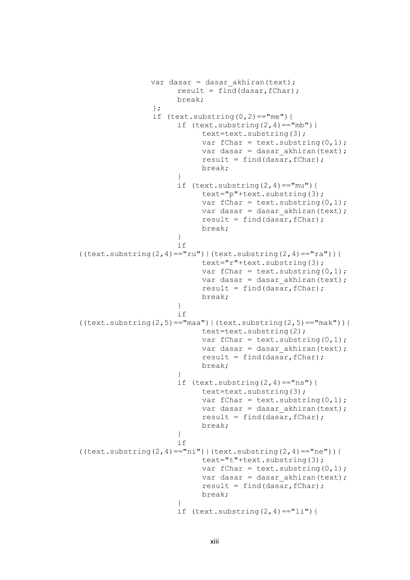```
var dasar = dasar akhiran(text);
                       result = find(dasar, fChar);break;
                 };
                 if (text.substring(0,2) == "me") {
                       if (text.substring(2, 4) == "mb") {
                            text=text.substring(3);
                            var fChar = text.substring(0, 1);
                            var dasar = dasar akhiran(text);
                            result = find(dasar, fChar);break;
                       }
                       if (text.substring(2, 4) == "mu") {
                            text="p"+text.substring(3);
                            var fChar = text.substring(0, 1);
                            var dasar = dasar akhiran(text);
                            result = find(dasar, fChar);break;
                       }
                       if 
((text.substring(2,4)=="ru")|(text.substring(2,4)=="ra")}
                            text="r"+text.substring(3);
                            var fChar = text.substring(0,1);
                            var dasar = dasar akhiran(text);
                            result = find(dasar, fChar);break;
                       }
                       if 
((text.substring(2,5)) == "maa") | (text.substring(2,5)) == "mak")text=text.substring(2);
                            var fChar = text.substring(0, 1);
                            var dasar = dasar akhiran(text);
                            result = find(dasar, fChar);break;
                       }
                       if (text.substring(2, 4) == "ns") {
                            text=text.substring(3);
                            var fChar = text.substring(0, 1);
                            var dasar = dasar akhiran(text);
                            result = find(dasar, fChar);break;
                       }
                       if 
((text.substring(2,4)=="nii")|(text.substring(2,4)=="ne")text="t"+text.substring(3);
                            var fChar = text.substring(0, 1);
                            var dasar = dasar akhiran(text);
                            result = find(dasar, fChar);break;
                       }
                       if (text.substring(2, 4) == "li") {
```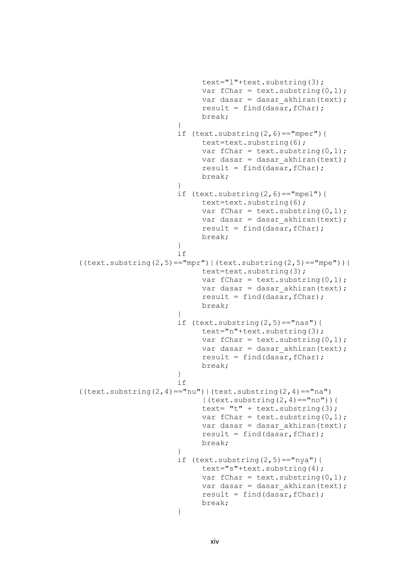```
text="l"+text.substring(3);
                            var fChar = text.substring(0,1);var dasar = dasar akhiran(text);
                            result = find(dasar, fChar);break;
                       }
                      if (text.substring(2,6) == "mper") {
                            text=text.substring(6);
                            var fChar = text.substring(0, 1);
                            var dasar = dasar akhiran(text);
                            result = find(dasar, fChar);break;
                       }
                      if (text.substring(2,6) == "mpel") {
                            text=text.substring(6);
                            var fChar = text.substring(0,1);
                            var dasar = dasar akhiran(text);
                            result = find(dasar, fChar);break;
                      }
                      if
((text.substring(2,5) == "mpr") | (text.substring(2,5) == "mpe")})text=text.substring(3);
                            var fChar = text.substring(0, 1);
                            var dasar = dasar akhiran(text);
                            result = find(dasar, fChar);break;
                       }
                      if (text.substring(2,5) == "nas") {
                            text="n"+text.substring(3);
                            var fChar = text.substring(0, 1);
                            var dasar = dasar akhiran(text);
                            result = find(dasar, fChar);break;
                       }
                      if 
((text.substring(2,4) == "nu") | (text.substring(2,4) == "na")| (text.substring(2,4)=="no")){
                            text= "t" + text.substring(3);var fChar = text.substring(0, 1);
                            var dasar = dasar akhiran(text);
                            result = find(dasar, fChar);break;
                       }
                      if (text.substring(2,5) == "nya")text="s"+text.substring(4);
                            var fChar = text.substring(0, 1);
                            var dasar = dasar akhiran(text);
                            result = find(dasar, fChar);break;
                       }
```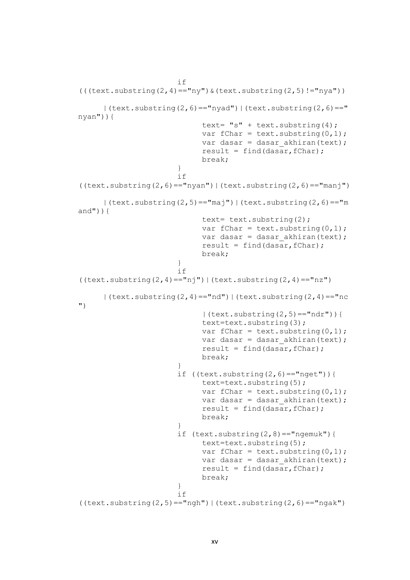```
if 
((text, substring (2,4) == "ny") & (text, substring (2,5) != "ny")| (text.substring(2,6)=="nyad") | (text.substring(2,6)=="
nyan")){
                            text= "s" + text.substring(4);var fChar = text.substring(0, 1);
                            var dasar = dasar akhiran(text);
                             result = find(dasar, fChar);break;
                       }
                       if 
((text.substring(2,6) == "nyan") | (text.substring(2,6) == "man")| (text.substring(2,5)=="maj") | (text.substring(2,6)=="m
and")} {
                             text= text.substring(2);
                            var fChar = text.substring(0, 1);
                             var dasar = dasar akhiran(text);
                            result = find(dasar, fChar);break;
                       }
                       if 
((text.substring(2,4)=="nji")|(text.substring(2,4)=="nz")| (text.substring(2,4)=="nd") | (text.substring(2,4)=="nc
")
                             | (text.substring(2,5)=="ndr")){
                            text=text.substring(3);
                            var fChar = text.substring(0, 1);
                            var dasar = dasar akhiran(text);
                            result = find(dasar, fChar);break;
                       }
                       if ((text.substring(2,6) == "nget"))text=text.substring(5);
                            var fChar = text.substring(0, 1);
                            var dasar = dasar akhiran(text);
                            result = find(dasar, fChar);break;
                       }
                       if (text.substring(2,8) == "ngemuk") {
                            text=text.substring(5);
                            var fChar = text.substring(0,1);
                            var dasar = dasar akhiran(text);
                            result = find(dasar, fChar);break;
                       }
                       if 
((text.substring(2,5)=="nqh")|(text.substring(2,6)=="nqak")
```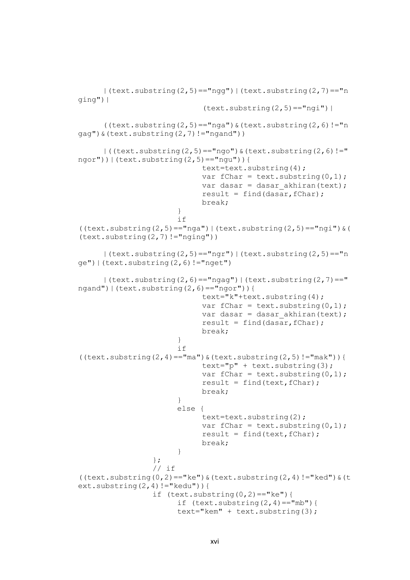```
|(text.substring(2,5)=="ngg")|(text.substring(2,7)=="n
ging")|
                             (text.substring(2,5) == "ngi")((text.substring(2,5)=="nga") & (text.substring(2,6)!="n
gag")&(text.substring(2,7)!="ngand"))
      ( ((text.substring(2,5) == "ngo") & (text.substring(2,6) != "
ngor")) | (text.substring(2,5) == "ngu")) {
                             text=text.substring(4);
                             var fChar = text.substring(0, 1);
                             var dasar = dasar akhiran(text);
                             result = find(dasar, fChar);break;
                       }
                       if 
((text.substring(2,5)=="nga")|(text.substring(2,5)=="ngi")@(text.substring(2,7)!="nging"))
      | (text.substring(2,5)=="ngr") | (text.substring(2,5)=="n
qe') | (text.substring(2,6)!="nget")
      | (text.substring(2,6)=="ngag") | (text.substring(2,7)=="
ngand")|(text.substring(2,6)=="ngor")){
                             text="k"+text.substring(4);
                             var fChar = text.substring(0, 1);
                             var dasar = dasar akhiran(text);
                             result = find(dasar, fChar);break;
                       }
                       if 
( (text.substring(2,4)=="ma") & (text.substring(2,5)!="mak")) {
                             text="ip" + text.substring(3);var fChar = text.substring(0, 1);
                             result = find(text, fChar);break;
                       }
                       else {
                             text=text.substring(2);
                             var fChar = text.substring(0, 1);
                             result = find(text, fChar);break;
                       }
                 };
                 // if 
((text.substring(0,2)=="ke") & (text.substring(2,4)!="ked") & (t
ext.substring(2, 4) != "kedu") } {
                 if (text.substring(0,2) == "ke")if (text.substring(2, 4) == "mb") {
                       text="kem" + text.substring(3);
```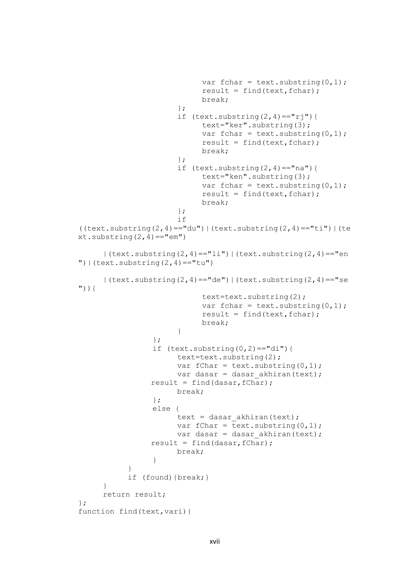```
var fchar = text.substring(0, 1);
                             result = find(text, fchar);break;
                       };
                       if (text.substring(2,4) == "rj") {
                             text="ker".substring(3);
                             var fchar = text.substring(0, 1);
                             result = find(text, fchar);break;
                       };
                       if (text.substring(2, 4) == "na") {
                             text="ken".substring(3);
                             var fchar = text.substring(0, 1);
                             result = find(text, fchar);
                             break;
                       };
                       if 
((text.substring(2,4)=="du")|(text.substring(2,4)=="ti")|(te
xt.substring(2,4) == "em")| (text.substring(2,4)=="li") | (text.substring(2,4)=="en
') | (text.substring(2,4) == "tu")
     | (text.substring(2,4)=="de")|(text.substring(2,4)=="se
") \} {
                             text=text.substring(2);
                             var fchar = text.substring(0, 1);
                             result = find(text, fchar);break;
                       }
                 };
                 if (text.substring(0,2) == "di") {
                       text=text.substring(2);
                       var fChar = text.substring(0, 1);
                       var dasar = dasar akhiran(text);
                 result = find(dasar, fChar);break;
                 };
                 else {
                       text = dasar akhiran(text);
                       var fChar = text.substring(0,1);
                       var dasar = dasar akhiran(text);
                 result = find(dasar, fChar);break;
                 }
           }
           if (found){break;}
     }
     return result;
};
function find(text, vari) {
```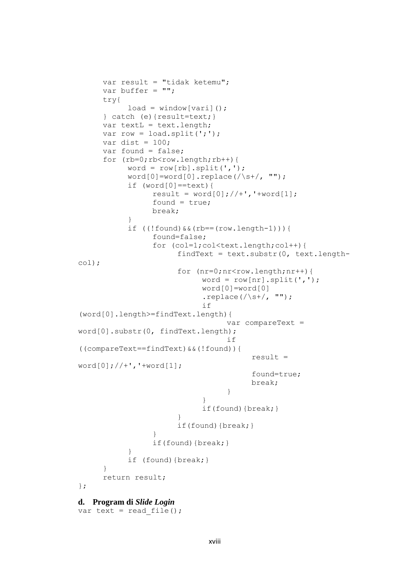```
var result = "tidak ketemu";
     var buffer = "";
     try{
           load = window[vari]();
     } catch (e){result=text;}
     var textL = text.length;
     var row = load.split(';');
     var dist = 100;
     var found = false;
     for (rb=0;rb<row.length;rb++) {
           word = row[rb] .split(','');
           word[0] = word[0].replace(/\s+/, "");
            if (word[0]==text){
                 result = word[0]; // +', '+word[1];found = true;break;
            }
            if ((!found) & (rb == (row.length-1)))found=false;
                  for (col=1; col < text.length; col++) {
                       findText = text.substr(0, \text{text.length}-
col);
                       for (nr=0;nr<row.length;nr++) {
                             word = row[nr].split(',');
                             word[0]=word[0]
                             .replace(/\surds+/, "");
                             if 
(word[0].length>=findText.length){
                                   var compareText = 
word[0].substr(0, findText.length);
                                   if 
((compareText==findText)&&(!found)){
                                         result = 
word[0]; // +', '+word[1];found=true;
                                         break;
                                   }
                             }
                             if(found){break;}
                        }
                       if(found){break;}
                  }
                 if(found){break;}
            }
            if (found){break;}
      }
     return result;
};
d. Program di Slide Login
```

```
var text = read file();
```